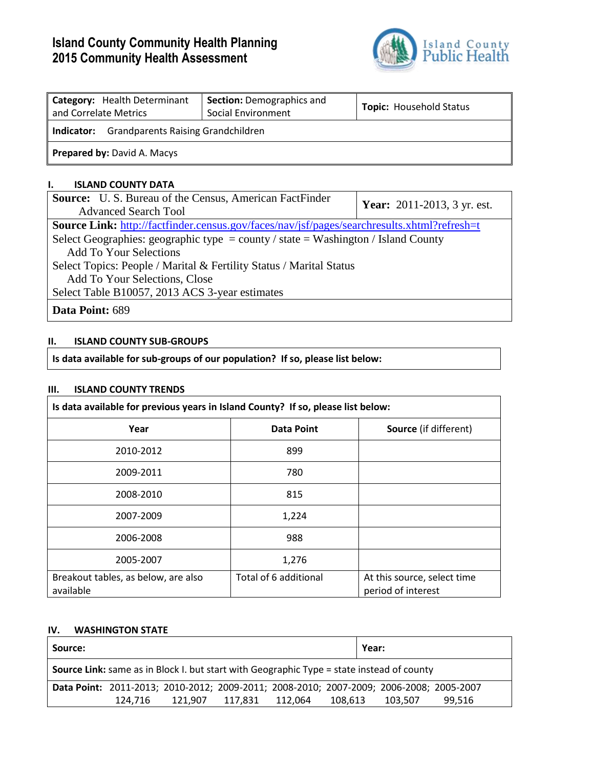# **Island County Community Health Planning 2015 Community Health Assessment**



| Category: Health Determinant<br>and Correlate Metrics   | <b>Section: Demographics and</b><br>Social Environment | <b>Topic: Household Status</b> |  |  |  |  |
|---------------------------------------------------------|--------------------------------------------------------|--------------------------------|--|--|--|--|
| <b>Grandparents Raising Grandchildren</b><br>Indicator: |                                                        |                                |  |  |  |  |
| Prepared by: David A. Macys                             |                                                        |                                |  |  |  |  |

### **I. ISLAND COUNTY DATA**

| <b>Source:</b> U.S. Bureau of the Census, American FactFinder                                      | <b>Year:</b> 2011-2013, 3 yr. est. |  |  |  |  |  |
|----------------------------------------------------------------------------------------------------|------------------------------------|--|--|--|--|--|
| <b>Advanced Search Tool</b>                                                                        |                                    |  |  |  |  |  |
| <b>Source Link:</b> http://factfinder.census.gov/faces/nav/jsf/pages/searchresults.xhtml?refresh=t |                                    |  |  |  |  |  |
| Select Geographies: geographic type = county / state = Washington / Island County                  |                                    |  |  |  |  |  |
| <b>Add To Your Selections</b>                                                                      |                                    |  |  |  |  |  |
| Select Topics: People / Marital & Fertility Status / Marital Status                                |                                    |  |  |  |  |  |
| Add To Your Selections, Close                                                                      |                                    |  |  |  |  |  |
| Select Table B10057, 2013 ACS 3-year estimates                                                     |                                    |  |  |  |  |  |
| Data Point: 689                                                                                    |                                    |  |  |  |  |  |

# **II. ISLAND COUNTY SUB-GROUPS**

**Is data available for sub-groups of our population? If so, please list below:**

#### **III. ISLAND COUNTY TRENDS**

| Is data available for previous years in Island County? If so, please list below: |                       |                                                   |  |  |  |
|----------------------------------------------------------------------------------|-----------------------|---------------------------------------------------|--|--|--|
| Year                                                                             | <b>Data Point</b>     | <b>Source</b> (if different)                      |  |  |  |
| 2010-2012                                                                        | 899                   |                                                   |  |  |  |
| 2009-2011                                                                        | 780                   |                                                   |  |  |  |
| 2008-2010                                                                        | 815                   |                                                   |  |  |  |
| 2007-2009                                                                        | 1,224                 |                                                   |  |  |  |
| 2006-2008                                                                        | 988                   |                                                   |  |  |  |
| 2005-2007                                                                        | 1,276                 |                                                   |  |  |  |
| Breakout tables, as below, are also<br>available                                 | Total of 6 additional | At this source, select time<br>period of interest |  |  |  |

# **IV. WASHINGTON STATE**

| Source:                                                                                          |                                                                                         |         |         |         | Year:   |         |        |  |
|--------------------------------------------------------------------------------------------------|-----------------------------------------------------------------------------------------|---------|---------|---------|---------|---------|--------|--|
| <b>Source Link:</b> same as in Block I. but start with Geographic Type = state instead of county |                                                                                         |         |         |         |         |         |        |  |
|                                                                                                  | Data Point: 2011-2013; 2010-2012; 2009-2011; 2008-2010; 2007-2009; 2006-2008; 2005-2007 |         |         |         |         |         |        |  |
|                                                                                                  | 124.716                                                                                 | 121.907 | 117.831 | 112.064 | 108,613 | 103,507 | 99.516 |  |